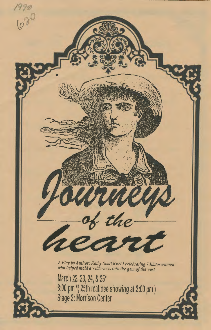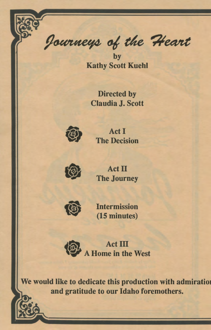Journeys of the Heart

by Kathy Scott Kuehl

Directed by Claudia J. Scott



Act I The Decision



Act II The Journey



Intermission (15 minutes)

**FREE** Act III **Law A Home in the West** 

We would like to dedicate this production with admiration and gratitude to our Idaho foremothers.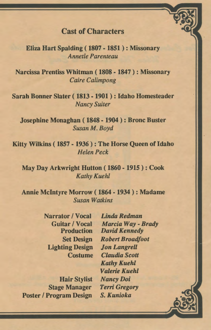## Cast of Characters

Eliza Hart Spalding ( 1807 - 1851 ) : Missonary *Annetle Parenteau* 

Narcissa Prentiss Whitman ( 1808 - 1847 ) : Missonary *Caire Calimpong* 

Sarah Bonner Slater ( 1813 - 1901 ) : Idaho Homesteader *Nancy Suiter* 

Josephine Monaghan ( 1848- 1904) : Bronc Buster *Susan M. Boyd* 

Kitty Wilkins ( 1857 - 1936 ) : The Horse Queen of Idaho *Helen Peck* 

May Day Arkwright Hutton ( 1860- 1915): Cook *Kathy Kuehl* 

Annie Mcintyre Morrow ( 1864 - 1934 ) : Madame *Susan Watkins* 

> Narrator I Vocal *Linda Redman*  Production Set Design Lighting Design **Costume**

Hair Stylist *NancyDoi*  Stage Manager Poster / Program Design

Guitar I Vocal *Marcia Way- Brady David Kennedy Robert Broadfoot Jon Langrell Claudia Scott Kathy Kuehl Valerie Kuehl Terri Gregory S. Kunioka*